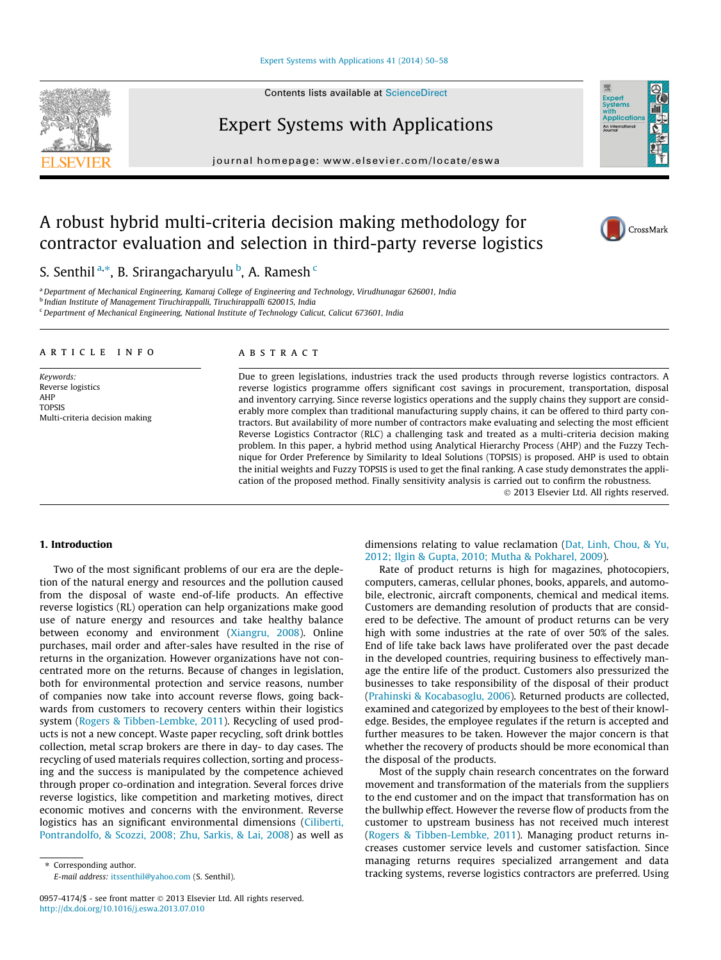#### [Expert Systems with Applications 41 \(2014\) 50–58](http://dx.doi.org/10.1016/j.eswa.2013.07.010)

Contents lists available at [ScienceDirect](http://www.sciencedirect.com/science/journal/09574174)

Expert Systems with Applications

journal homepage: [www.elsevier.com/locate/eswa](http://www.elsevier.com/locate/eswa)

# A robust hybrid multi-criteria decision making methodology for contractor evaluation and selection in third-party reverse logistics

S. Senthil <sup>a,\*</sup>, B. Srirangacharyulu <sup>b</sup>, A. Ramesh <sup>c</sup>

a Department of Mechanical Engineering, Kamaraj College of Engineering and Technology, Virudhunagar 626001, India

<sup>b</sup> Indian Institute of Management Tiruchirappalli, Tiruchirappalli 620015, India

<sup>c</sup> Department of Mechanical Engineering, National Institute of Technology Calicut, Calicut 673601, India

### article info

Keywords: Reverse logistics AHP TOPSIS Multi-criteria decision making

# **ABSTRACT**

Due to green legislations, industries track the used products through reverse logistics contractors. A reverse logistics programme offers significant cost savings in procurement, transportation, disposal and inventory carrying. Since reverse logistics operations and the supply chains they support are considerably more complex than traditional manufacturing supply chains, it can be offered to third party contractors. But availability of more number of contractors make evaluating and selecting the most efficient Reverse Logistics Contractor (RLC) a challenging task and treated as a multi-criteria decision making problem. In this paper, a hybrid method using Analytical Hierarchy Process (AHP) and the Fuzzy Technique for Order Preference by Similarity to Ideal Solutions (TOPSIS) is proposed. AHP is used to obtain the initial weights and Fuzzy TOPSIS is used to get the final ranking. A case study demonstrates the application of the proposed method. Finally sensitivity analysis is carried out to confirm the robustness. - 2013 Elsevier Ltd. All rights reserved.

# 1. Introduction

Two of the most significant problems of our era are the depletion of the natural energy and resources and the pollution caused from the disposal of waste end-of-life products. An effective reverse logistics (RL) operation can help organizations make good use of nature energy and resources and take healthy balance between economy and environment ([Xiangru, 2008\)](#page--1-0). Online purchases, mail order and after-sales have resulted in the rise of returns in the organization. However organizations have not concentrated more on the returns. Because of changes in legislation, both for environmental protection and service reasons, number of companies now take into account reverse flows, going backwards from customers to recovery centers within their logistics system [\(Rogers & Tibben-Lembke, 2011\)](#page--1-0). Recycling of used products is not a new concept. Waste paper recycling, soft drink bottles collection, metal scrap brokers are there in day- to day cases. The recycling of used materials requires collection, sorting and processing and the success is manipulated by the competence achieved through proper co-ordination and integration. Several forces drive reverse logistics, like competition and marketing motives, direct economic motives and concerns with the environment. Reverse logistics has an significant environmental dimensions ([Ciliberti,](#page--1-0) [Pontrandolfo, & Scozzi, 2008; Zhu, Sarkis, & Lai, 2008](#page--1-0)) as well as dimensions relating to value reclamation [\(Dat, Linh, Chou, & Yu,](#page--1-0) [2012; Ilgin & Gupta, 2010; Mutha & Pokharel, 2009](#page--1-0)).

Rate of product returns is high for magazines, photocopiers, computers, cameras, cellular phones, books, apparels, and automobile, electronic, aircraft components, chemical and medical items. Customers are demanding resolution of products that are considered to be defective. The amount of product returns can be very high with some industries at the rate of over 50% of the sales. End of life take back laws have proliferated over the past decade in the developed countries, requiring business to effectively manage the entire life of the product. Customers also pressurized the businesses to take responsibility of the disposal of their product ([Prahinski & Kocabasoglu, 2006\)](#page--1-0). Returned products are collected, examined and categorized by employees to the best of their knowledge. Besides, the employee regulates if the return is accepted and further measures to be taken. However the major concern is that whether the recovery of products should be more economical than the disposal of the products.

Most of the supply chain research concentrates on the forward movement and transformation of the materials from the suppliers to the end customer and on the impact that transformation has on the bullwhip effect. However the reverse flow of products from the customer to upstream business has not received much interest ([Rogers & Tibben-Lembke, 2011\)](#page--1-0). Managing product returns increases customer service levels and customer satisfaction. Since managing returns requires specialized arrangement and data tracking systems, reverse logistics contractors are preferred. Using





**Expert**<br>Systems with<br>Application An Internati

<sup>⇑</sup> Corresponding author. E-mail address: [itssenthil@yahoo.com](mailto:itssenthil@yahoo.com) (S. Senthil).

<sup>0957-4174/\$ -</sup> see front matter © 2013 Elsevier Ltd. All rights reserved. <http://dx.doi.org/10.1016/j.eswa.2013.07.010>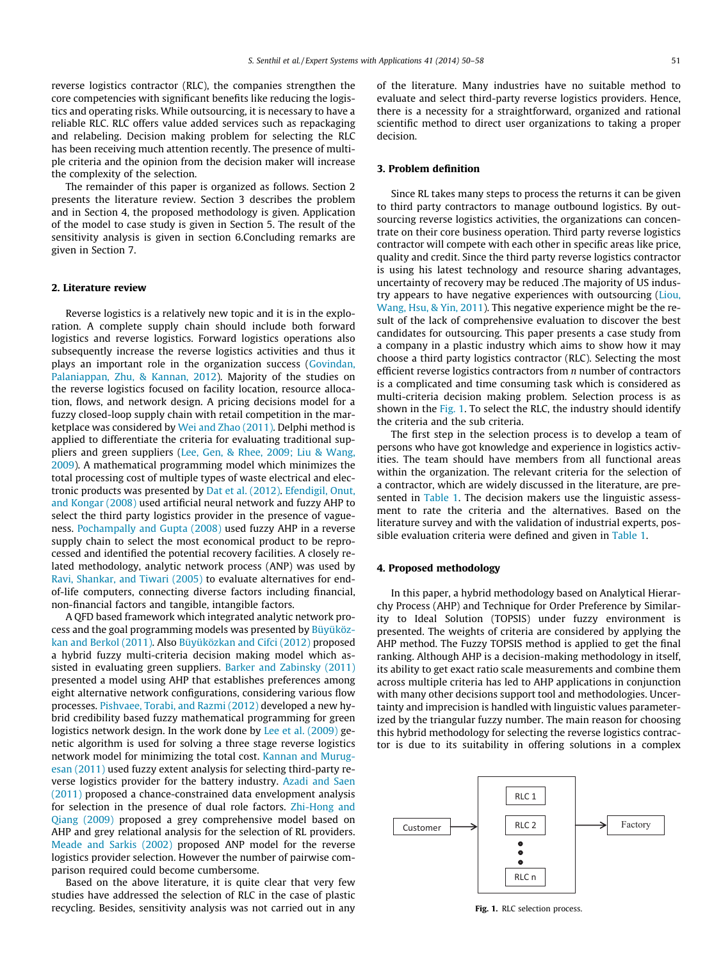reverse logistics contractor (RLC), the companies strengthen the core competencies with significant benefits like reducing the logistics and operating risks. While outsourcing, it is necessary to have a reliable RLC. RLC offers value added services such as repackaging and relabeling. Decision making problem for selecting the RLC has been receiving much attention recently. The presence of multiple criteria and the opinion from the decision maker will increase the complexity of the selection.

The remainder of this paper is organized as follows. Section 2 presents the literature review. Section 3 describes the problem and in Section 4, the proposed methodology is given. Application of the model to case study is given in Section 5. The result of the sensitivity analysis is given in section 6.Concluding remarks are given in Section 7.

#### 2. Literature review

Reverse logistics is a relatively new topic and it is in the exploration. A complete supply chain should include both forward logistics and reverse logistics. Forward logistics operations also subsequently increase the reverse logistics activities and thus it plays an important role in the organization success [\(Govindan,](#page--1-0) [Palaniappan, Zhu, & Kannan, 2012](#page--1-0)). Majority of the studies on the reverse logistics focused on facility location, resource allocation, flows, and network design. A pricing decisions model for a fuzzy closed-loop supply chain with retail competition in the marketplace was considered by [Wei and Zhao \(2011\).](#page--1-0) Delphi method is applied to differentiate the criteria for evaluating traditional suppliers and green suppliers ([Lee, Gen, & Rhee, 2009; Liu & Wang,](#page--1-0) [2009](#page--1-0)). A mathematical programming model which minimizes the total processing cost of multiple types of waste electrical and electronic products was presented by [Dat et al. \(2012\)](#page--1-0). [Efendigil, Onut,](#page--1-0) [and Kongar \(2008\)](#page--1-0) used artificial neural network and fuzzy AHP to select the third party logistics provider in the presence of vagueness. [Pochampally and Gupta \(2008\)](#page--1-0) used fuzzy AHP in a reverse supply chain to select the most economical product to be reprocessed and identified the potential recovery facilities. A closely related methodology, analytic network process (ANP) was used by [Ravi, Shankar, and Tiwari \(2005\)](#page--1-0) to evaluate alternatives for endof-life computers, connecting diverse factors including financial, non-financial factors and tangible, intangible factors.

A QFD based framework which integrated analytic network process and the goal programming models was presented by [Büyüköz](#page--1-0)[kan and Berkol \(2011\).](#page--1-0) Also [Büyüközkan and Cifci \(2012\)](#page--1-0) proposed a hybrid fuzzy multi-criteria decision making model which assisted in evaluating green suppliers. [Barker and Zabinsky \(2011\)](#page--1-0) presented a model using AHP that establishes preferences among eight alternative network configurations, considering various flow processes. [Pishvaee, Torabi, and Razmi \(2012\)](#page--1-0) developed a new hybrid credibility based fuzzy mathematical programming for green logistics network design. In the work done by [Lee et al. \(2009\)](#page--1-0) genetic algorithm is used for solving a three stage reverse logistics network model for minimizing the total cost. [Kannan and Murug](#page--1-0)[esan \(2011\)](#page--1-0) used fuzzy extent analysis for selecting third-party reverse logistics provider for the battery industry. [Azadi and Saen](#page--1-0) [\(2011\)](#page--1-0) proposed a chance-constrained data envelopment analysis for selection in the presence of dual role factors. [Zhi-Hong and](#page--1-0) [Qiang \(2009\)](#page--1-0) proposed a grey comprehensive model based on AHP and grey relational analysis for the selection of RL providers. [Meade and Sarkis \(2002\)](#page--1-0) proposed ANP model for the reverse logistics provider selection. However the number of pairwise comparison required could become cumbersome.

Based on the above literature, it is quite clear that very few studies have addressed the selection of RLC in the case of plastic recycling. Besides, sensitivity analysis was not carried out in any

of the literature. Many industries have no suitable method to evaluate and select third-party reverse logistics providers. Hence, there is a necessity for a straightforward, organized and rational scientific method to direct user organizations to taking a proper decision.

#### 3. Problem definition

Since RL takes many steps to process the returns it can be given to third party contractors to manage outbound logistics. By outsourcing reverse logistics activities, the organizations can concentrate on their core business operation. Third party reverse logistics contractor will compete with each other in specific areas like price, quality and credit. Since the third party reverse logistics contractor is using his latest technology and resource sharing advantages, uncertainty of recovery may be reduced .The majority of US industry appears to have negative experiences with outsourcing ([Liou,](#page--1-0) [Wang, Hsu, & Yin, 2011\)](#page--1-0). This negative experience might be the result of the lack of comprehensive evaluation to discover the best candidates for outsourcing. This paper presents a case study from a company in a plastic industry which aims to show how it may choose a third party logistics contractor (RLC). Selecting the most efficient reverse logistics contractors from n number of contractors is a complicated and time consuming task which is considered as multi-criteria decision making problem. Selection process is as shown in the Fig. 1. To select the RLC, the industry should identify the criteria and the sub criteria.

The first step in the selection process is to develop a team of persons who have got knowledge and experience in logistics activities. The team should have members from all functional areas within the organization. The relevant criteria for the selection of a contractor, which are widely discussed in the literature, are pre-sented in [Table 1.](#page--1-0) The decision makers use the linguistic assessment to rate the criteria and the alternatives. Based on the literature survey and with the validation of industrial experts, possible evaluation criteria were defined and given in [Table 1.](#page--1-0)

#### 4. Proposed methodology

In this paper, a hybrid methodology based on Analytical Hierarchy Process (AHP) and Technique for Order Preference by Similarity to Ideal Solution (TOPSIS) under fuzzy environment is presented. The weights of criteria are considered by applying the AHP method. The Fuzzy TOPSIS method is applied to get the final ranking. Although AHP is a decision-making methodology in itself, its ability to get exact ratio scale measurements and combine them across multiple criteria has led to AHP applications in conjunction with many other decisions support tool and methodologies. Uncertainty and imprecision is handled with linguistic values parameterized by the triangular fuzzy number. The main reason for choosing this hybrid methodology for selecting the reverse logistics contractor is due to its suitability in offering solutions in a complex



Fig. 1. RLC selection process.